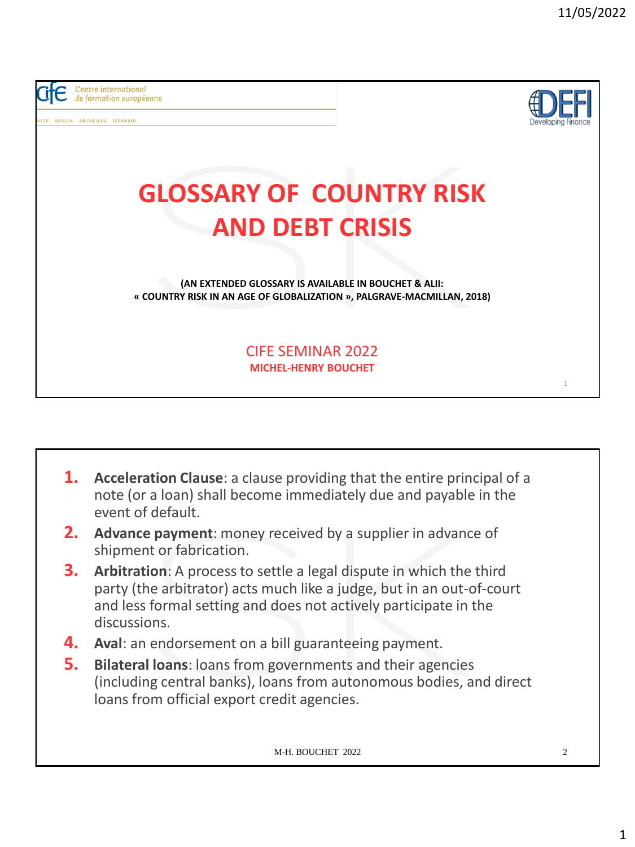

- **1. Acceleration Clause**: a clause providing that the entire principal of a note (or a loan) shall become immediately due and payable in the event of default.
- **2. Advance payment**: money received by a supplier in advance of shipment or fabrication.
- **3. Arbitration**: A process to settle a legal dispute in which the third party (the arbitrator) acts much like a judge, but in an out-of-court and less formal setting and does not actively participate in the discussions.
- **4. Aval**: an endorsement on a bill guaranteeing payment.
- **5. Bilateral loans**: loans from governments and their agencies (including central banks), loans from autonomous bodies, and direct loans from official export credit agencies.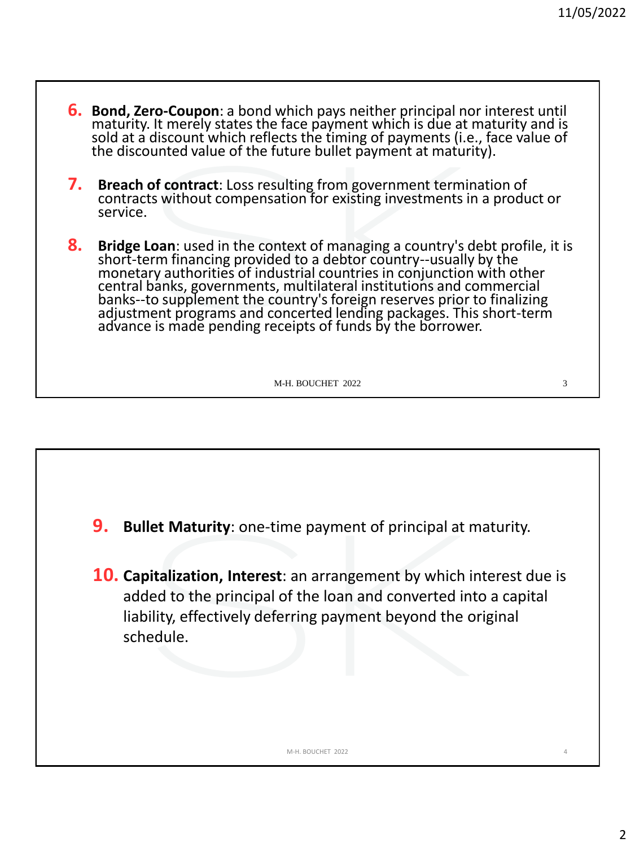- **6. Bond, Zero-Coupon**: a bond which pays neither principal nor interest until maturity. It merely states the face payment which is due at maturity and is sold at a discount which reflects the timing of payments (i.e., face value of the discounted value of the future bullet payment at maturity).
- **7. Breach of contract**: Loss resulting from government termination of contracts without compensation for existing investments in a product or service.
- **8. Bridge Loan**: used in the context of managing a country's debt profile, it is short-term financing provided to a debtor country--usually by the monetary authorities of industrial countries in conjunction with other central banks, governments, multilateral institutions and commercial banks--to supplement the country's foreign reserves prior to finalizing adjustment programs and concerted lending packages. This short-term advance is made pending receipts of funds by the borrower.

- **9. Bullet Maturity**: one-time payment of principal at maturity.
- **10. Capitalization, Interest**: an arrangement by which interest due is added to the principal of the loan and converted into a capital liability, effectively deferring payment beyond the original schedule.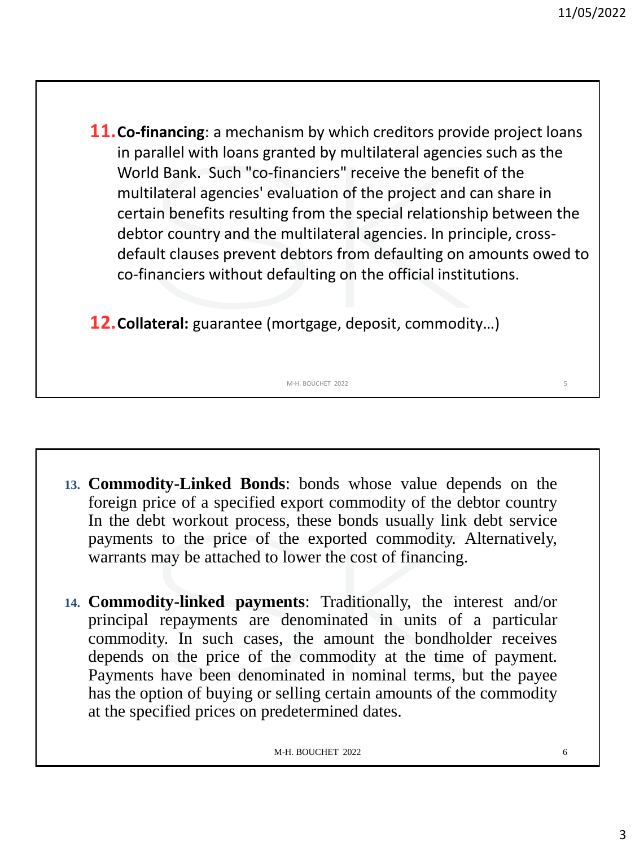**11.Co-financing**: a mechanism by which creditors provide project loans in parallel with loans granted by multilateral agencies such as the World Bank. Such "co-financiers" receive the benefit of the multilateral agencies' evaluation of the project and can share in certain benefits resulting from the special relationship between the debtor country and the multilateral agencies. In principle, crossdefault clauses prevent debtors from defaulting on amounts owed to co-financiers without defaulting on the official institutions.

**12.Collateral:** guarantee (mortgage, deposit, commodity…)

**13. Commodity-Linked Bonds**: bonds whose value depends on the foreign price of a specified export commodity of the debtor country In the debt workout process, these bonds usually link debt service payments to the price of the exported commodity. Alternatively, warrants may be attached to lower the cost of financing.

M-H. BOUCHET 2022

**14. Commodity-linked payments**: Traditionally, the interest and/or principal repayments are denominated in units of a particular commodity. In such cases, the amount the bondholder receives depends on the price of the commodity at the time of payment. Payments have been denominated in nominal terms, but the payee has the option of buying or selling certain amounts of the commodity at the specified prices on predetermined dates.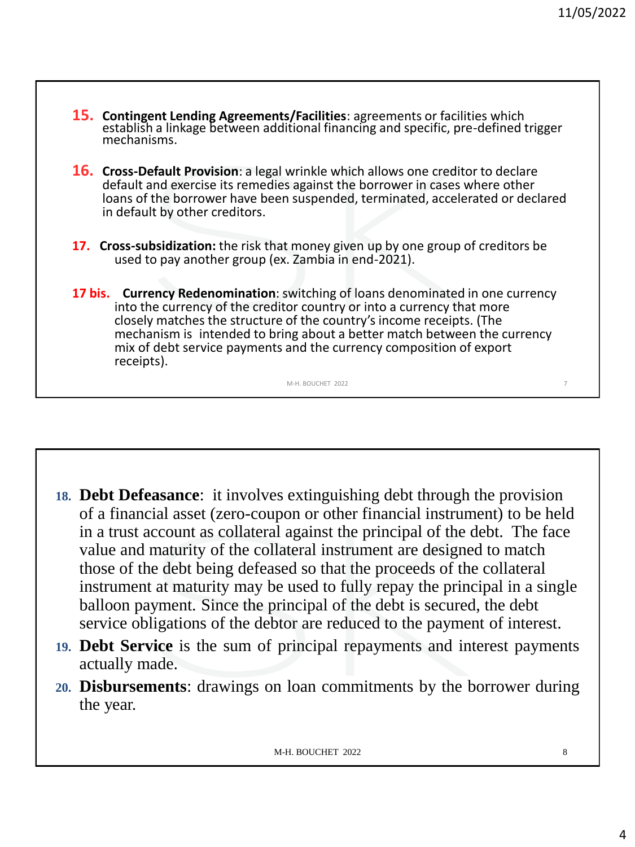**15. Contingent Lending Agreements/Facilities**: agreements or facilities which establish a linkage between additional financing and specific, pre-defined trigger mechanisms. **16. Cross-Default Provision**: a legal wrinkle which allows one creditor to declare default and exercise its remedies against the borrower in cases where other loans of the borrower have been suspended, terminated, accelerated or declared in default by other creditors. **17. Cross-subsidization:** the risk that money given up by one group of creditors be used to pay another group (ex. Zambia in end-2021). **17 bis. Currency Redenomination**: switching of loans denominated in one currency into the currency of the creditor country or into a currency that more closely matches the structure of the country's income receipts. (The mechanism is intended to bring about a better match between the currency mix of debt service payments and the currency composition of export receipts). M-H. BOUCHET 2022

- **18. Debt Defeasance**: it involves extinguishing debt through the provision of a financial asset (zero-coupon or other financial instrument) to be held in a trust account as collateral against the principal of the debt. The face value and maturity of the collateral instrument are designed to match those of the debt being defeased so that the proceeds of the collateral instrument at maturity may be used to fully repay the principal in a single balloon payment. Since the principal of the debt is secured, the debt service obligations of the debtor are reduced to the payment of interest.
- **19. Debt Service** is the sum of principal repayments and interest payments actually made.
- **20. Disbursements**: drawings on loan commitments by the borrower during the year.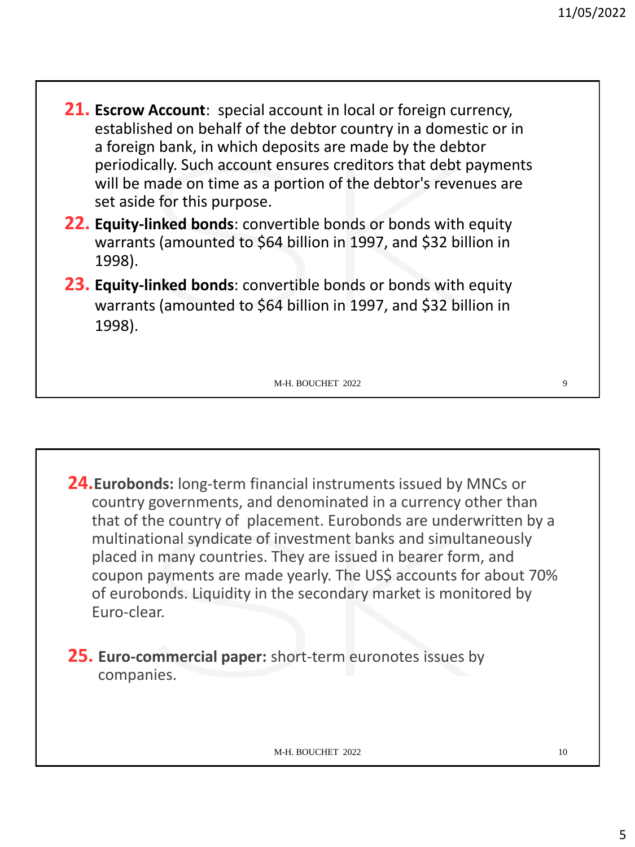- **21. Escrow Account**: special account in local or foreign currency, established on behalf of the debtor country in a domestic or in a foreign bank, in which deposits are made by the debtor periodically. Such account ensures creditors that debt payments will be made on time as a portion of the debtor's revenues are set aside for this purpose.
- **22. Equity-linked bonds**: convertible bonds or bonds with equity warrants (amounted to \$64 billion in 1997, and \$32 billion in 1998).
- **23. Equity-linked bonds**: convertible bonds or bonds with equity warrants (amounted to \$64 billion in 1997, and \$32 billion in 1998).

**24.Eurobonds:** long-term financial instruments issued by MNCs or country governments, and denominated in a currency other than that of the country of placement. Eurobonds are underwritten by a multinational syndicate of investment banks and simultaneously placed in many countries. They are issued in bearer form, and coupon payments are made yearly. The US\$ accounts for about 70% of eurobonds. Liquidity in the secondary market is monitored by Euro-clear.

**25. Euro-commercial paper:** short-term euronotes issues by companies.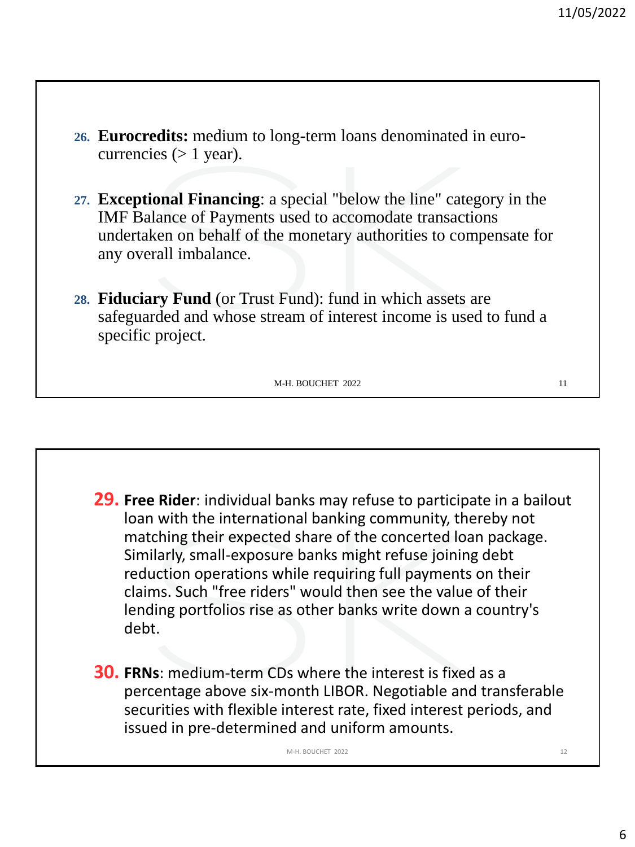- **26. Eurocredits:** medium to long-term loans denominated in eurocurrencies  $(> 1$  year).
- **27. Exceptional Financing**: a special "below the line" category in the IMF Balance of Payments used to accomodate transactions undertaken on behalf of the monetary authorities to compensate for any overall imbalance.
- **28. Fiduciary Fund** (or Trust Fund): fund in which assets are safeguarded and whose stream of interest income is used to fund a specific project.

**29. Free Rider**: individual banks may refuse to participate in a bailout loan with the international banking community, thereby not matching their expected share of the concerted loan package. Similarly, small-exposure banks might refuse joining debt reduction operations while requiring full payments on their claims. Such "free riders" would then see the value of their lending portfolios rise as other banks write down a country's debt. **30. FRNs**: medium-term CDs where the interest is fixed as a percentage above six-month LIBOR. Negotiable and transferable securities with flexible interest rate, fixed interest periods, and issued in pre-determined and uniform amounts. M-H. BOUCHET 2022 2002 2003 12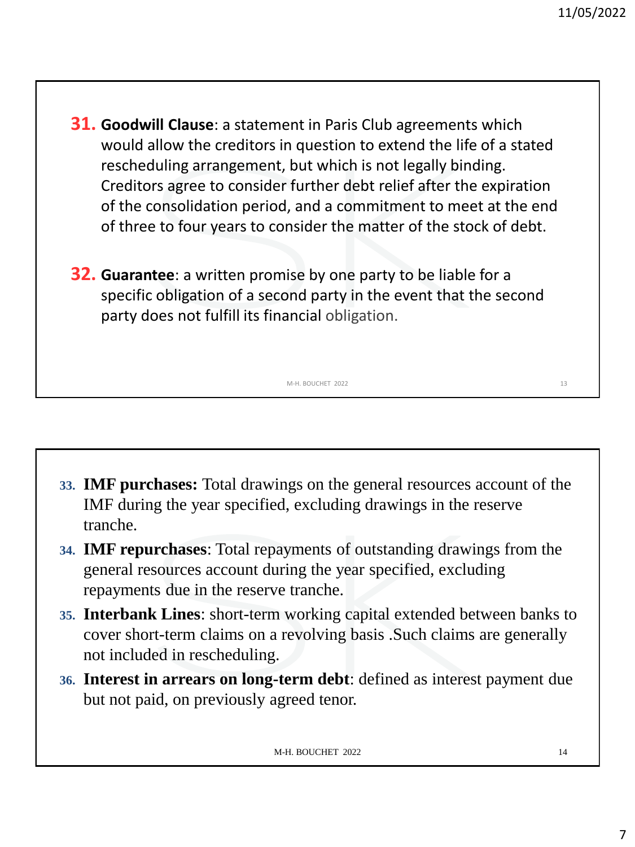- **31. Goodwill Clause**: a statement in Paris Club agreements which would allow the creditors in question to extend the life of a stated rescheduling arrangement, but which is not legally binding. Creditors agree to consider further debt relief after the expiration of the consolidation period, and a commitment to meet at the end of three to four years to consider the matter of the stock of debt.
- **32. Guarantee**: a written promise by one party to be liable for a specific obligation of a second party in the event that the second party does not fulfill its financial obligation.

**33. IMF purchases:** Total drawings on the general resources account of the IMF during the year specified, excluding drawings in the reserve tranche.

M-H. BOUCHET 2022 13

- **34. IMF repurchases**: Total repayments of outstanding drawings from the general resources account during the year specified, excluding repayments due in the reserve tranche.
- **35. Interbank Lines**: short-term working capital extended between banks to cover short-term claims on a revolving basis .Such claims are generally not included in rescheduling.
- **36. Interest in arrears on long-term debt**: defined as interest payment due but not paid, on previously agreed tenor.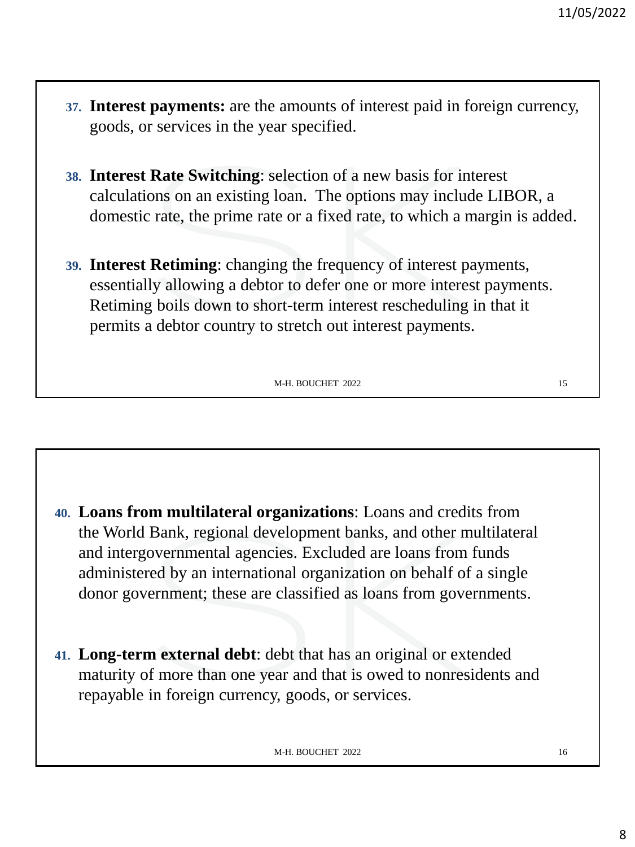- **37. Interest payments:** are the amounts of interest paid in foreign currency, goods, or services in the year specified.
- **38. Interest Rate Switching**: selection of a new basis for interest calculations on an existing loan. The options may include LIBOR, a domestic rate, the prime rate or a fixed rate, to which a margin is added.
- **39. Interest Retiming**: changing the frequency of interest payments, essentially allowing a debtor to defer one or more interest payments. Retiming boils down to short-term interest rescheduling in that it permits a debtor country to stretch out interest payments.

- **40. Loans from multilateral organizations**: Loans and credits from the World Bank, regional development banks, and other multilateral and intergovernmental agencies. Excluded are loans from funds administered by an international organization on behalf of a single donor government; these are classified as loans from governments.
- **41. Long-term external debt**: debt that has an original or extended maturity of more than one year and that is owed to nonresidents and repayable in foreign currency, goods, or services.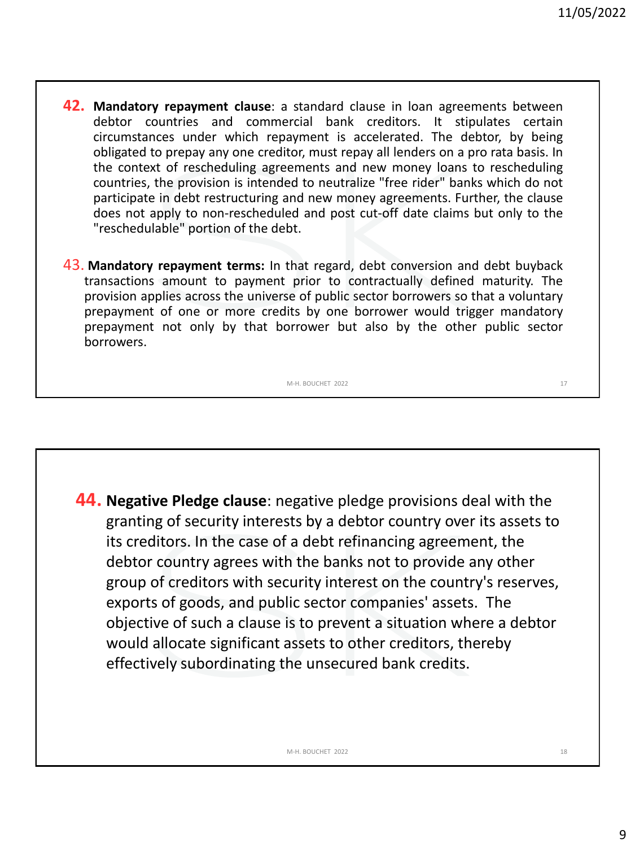- **42. Mandatory repayment clause**: a standard clause in loan agreements between debtor countries and commercial bank creditors. It stipulates certain circumstances under which repayment is accelerated. The debtor, by being obligated to prepay any one creditor, must repay all lenders on a pro rata basis. In the context of rescheduling agreements and new money loans to rescheduling countries, the provision is intended to neutralize "free rider" banks which do not participate in debt restructuring and new money agreements. Further, the clause does not apply to non-rescheduled and post cut-off date claims but only to the "reschedulable" portion of the debt.
- 43. **Mandatory repayment terms:** In that regard, debt conversion and debt buyback transactions amount to payment prior to contractually defined maturity. The provision applies across the universe of public sector borrowers so that a voluntary prepayment of one or more credits by one borrower would trigger mandatory prepayment not only by that borrower but also by the other public sector borrowers.

**44. Negative Pledge clause**: negative pledge provisions deal with the granting of security interests by a debtor country over its assets to its creditors. In the case of a debt refinancing agreement, the debtor country agrees with the banks not to provide any other group of creditors with security interest on the country's reserves, exports of goods, and public sector companies' assets. The objective of such a clause is to prevent a situation where a debtor would allocate significant assets to other creditors, thereby effectively subordinating the unsecured bank credits.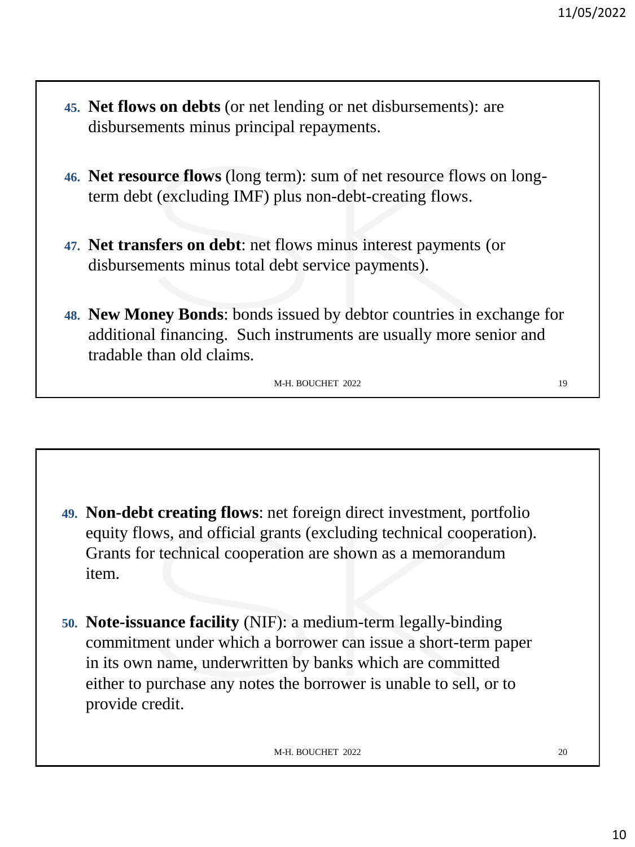- **45. Net flows on debts** (or net lending or net disbursements): are disbursements minus principal repayments.
- **46. Net resource flows** (long term): sum of net resource flows on longterm debt (excluding IMF) plus non-debt-creating flows.
- **47. Net transfers on debt**: net flows minus interest payments (or disbursements minus total debt service payments).
- **48. New Money Bonds**: bonds issued by debtor countries in exchange for additional financing. Such instruments are usually more senior and tradable than old claims.

- **49. Non-debt creating flows**: net foreign direct investment, portfolio equity flows, and official grants (excluding technical cooperation). Grants for technical cooperation are shown as a memorandum item.
- **50. Note-issuance facility** (NIF): a medium-term legally-binding commitment under which a borrower can issue a short-term paper in its own name, underwritten by banks which are committed either to purchase any notes the borrower is unable to sell, or to provide credit.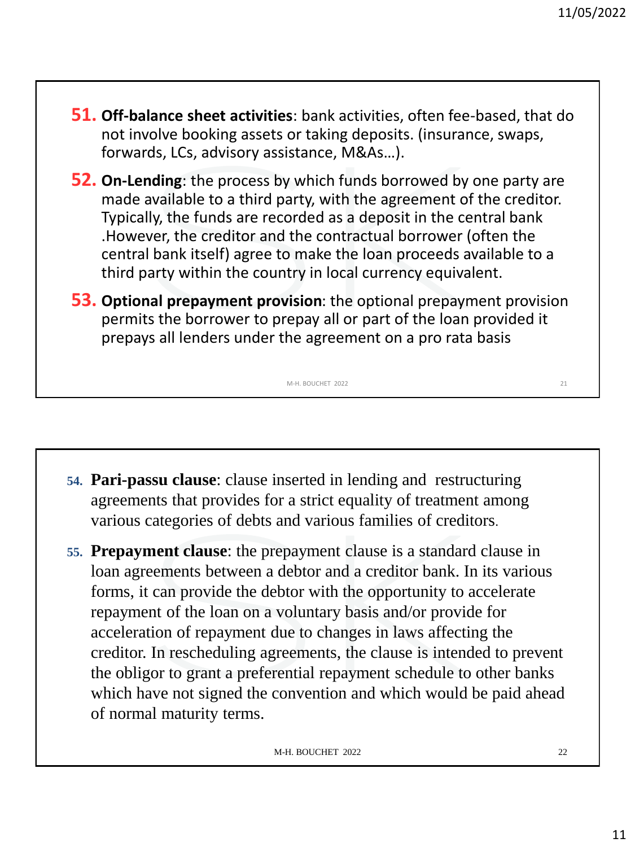- **51. Off-balance sheet activities**: bank activities, often fee-based, that do not involve booking assets or taking deposits. (insurance, swaps, forwards, LCs, advisory assistance, M&As…).
- **52. On-Lending**: the process by which funds borrowed by one party are made available to a third party, with the agreement of the creditor. Typically, the funds are recorded as a deposit in the central bank .However, the creditor and the contractual borrower (often the central bank itself) agree to make the loan proceeds available to a third party within the country in local currency equivalent.
- **53. Optional prepayment provision**: the optional prepayment provision permits the borrower to prepay all or part of the loan provided it prepays all lenders under the agreement on a pro rata basis.

- **54. Pari-passu clause**: clause inserted in lending and restructuring agreements that provides for a strict equality of treatment among various categories of debts and various families of creditors.
- **55. Prepayment clause**: the prepayment clause is a standard clause in loan agreements between a debtor and a creditor bank. In its various forms, it can provide the debtor with the opportunity to accelerate repayment of the loan on a voluntary basis and/or provide for acceleration of repayment due to changes in laws affecting the creditor. In rescheduling agreements, the clause is intended to prevent the obligor to grant a preferential repayment schedule to other banks which have not signed the convention and which would be paid ahead of normal maturity terms.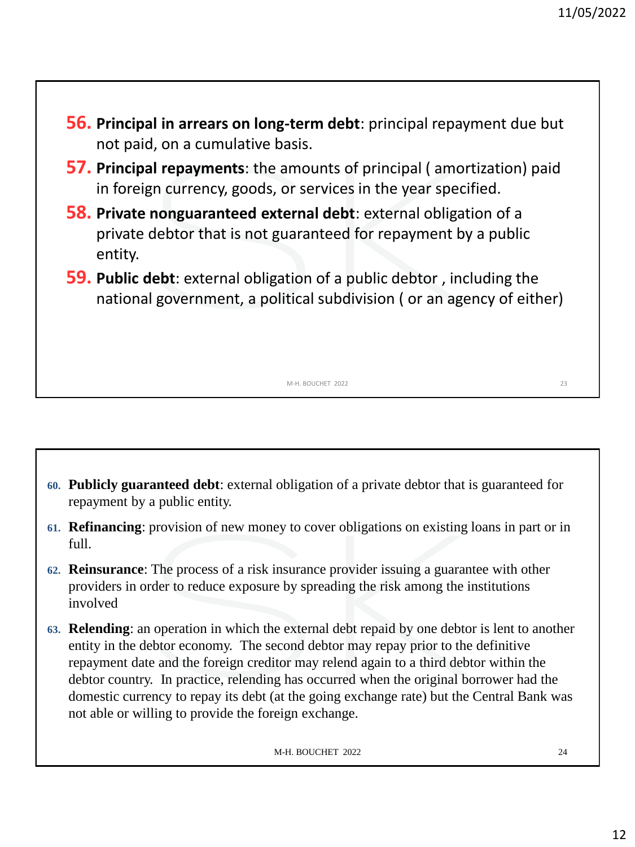- **56. Principal in arrears on long-term debt**: principal repayment due but not paid, on a cumulative basis.
- **57. Principal repayments**: the amounts of principal ( amortization) paid in foreign currency, goods, or services in the year specified.
- **58. Private nonguaranteed external debt**: external obligation of a private debtor that is not guaranteed for repayment by a public entity.
- **59. Public debt**: external obligation of a public debtor , including the national government, a political subdivision ( or an agency of either)

- **60. Publicly guaranteed debt**: external obligation of a private debtor that is guaranteed for repayment by a public entity.
- **61. Refinancing**: provision of new money to cover obligations on existing loans in part or in full.
- **62. Reinsurance**: The process of a risk insurance provider issuing a guarantee with other providers in order to reduce exposure by spreading the risk among the institutions involved
- **63. Relending**: an operation in which the external debt repaid by one debtor is lent to another entity in the debtor economy. The second debtor may repay prior to the definitive repayment date and the foreign creditor may relend again to a third debtor within the debtor country. In practice, relending has occurred when the original borrower had the domestic currency to repay its debt (at the going exchange rate) but the Central Bank was not able or willing to provide the foreign exchange.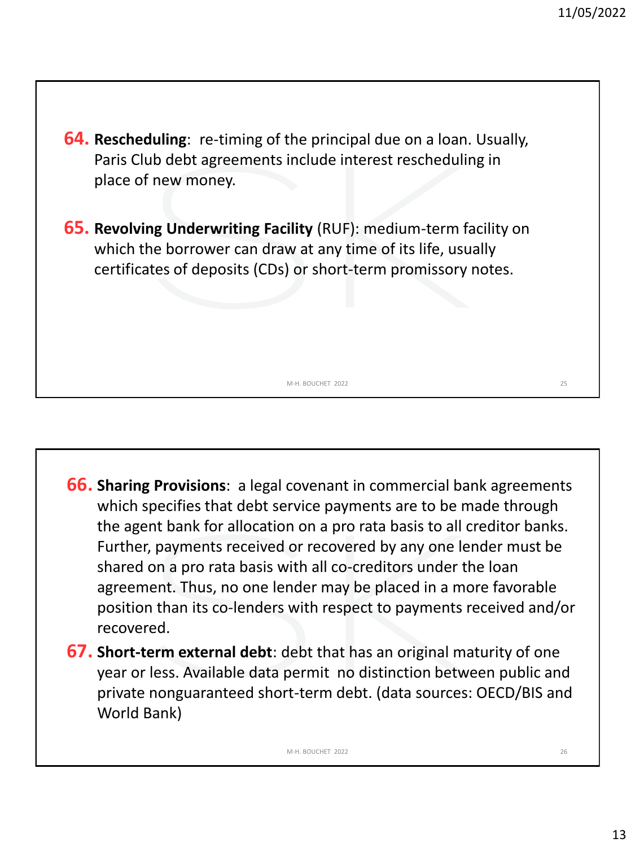- **64. Rescheduling**: re-timing of the principal due on a loan. Usually, Paris Club debt agreements include interest rescheduling in place of new money.
- **65. Revolving Underwriting Facility** (RUF): medium-term facility on which the borrower can draw at any time of its life, usually certificates of deposits (CDs) or short-term promissory notes.

**66. Sharing Provisions**: a legal covenant in commercial bank agreements which specifies that debt service payments are to be made through the agent bank for allocation on a pro rata basis to all creditor banks. Further, payments received or recovered by any one lender must be shared on a pro rata basis with all co-creditors under the loan agreement. Thus, no one lender may be placed in a more favorable position than its co-lenders with respect to payments received and/or recovered.

M-H. BOUCHET 2022 25

**67. Short-term external debt**: debt that has an original maturity of one year or less. Available data permit no distinction between public and private nonguaranteed short-term debt. (data sources: OECD/BIS and World Bank)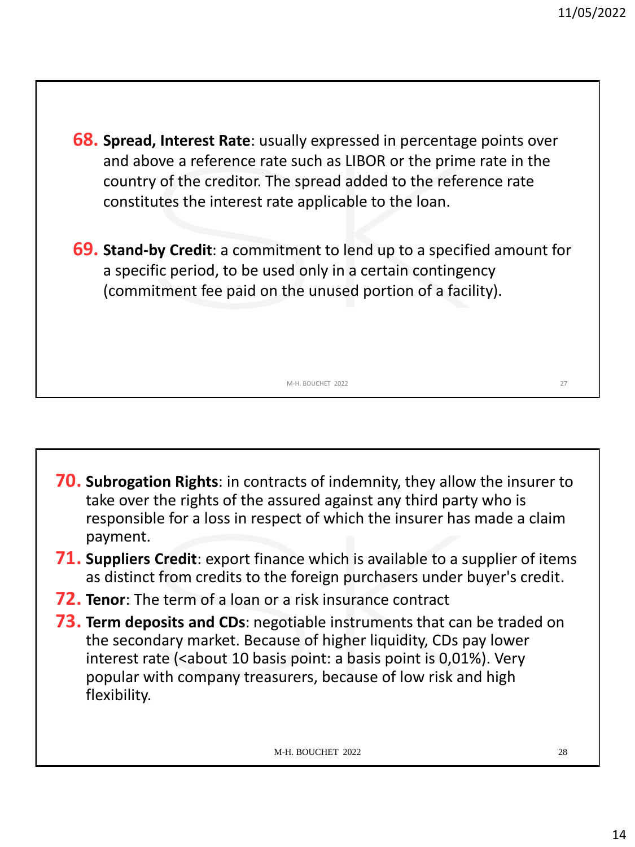**68. Spread, Interest Rate**: usually expressed in percentage points over and above a reference rate such as LIBOR or the prime rate in the country of the creditor. The spread added to the reference rate constitutes the interest rate applicable to the loan.

**69. Stand-by Credit**: a commitment to lend up to a specified amount for a specific period, to be used only in a certain contingency (commitment fee paid on the unused portion of a facility).

M-H. BOUCHET 2022 27

**70. Subrogation Rights**: in contracts of indemnity, they allow the insurer to take over the rights of the assured against any third party who is responsible for a loss in respect of which the insurer has made a claim payment.

- **71. Suppliers Credit**: export finance which is available to a supplier of items as distinct from credits to the foreign purchasers under buyer's credit.
- **72. Tenor**: The term of a loan or a risk insurance contract
- **73. Term deposits and CDs**: negotiable instruments that can be traded on the secondary market. Because of higher liquidity, CDs pay lower interest rate (<about 10 basis point: a basis point is 0,01%). Very popular with company treasurers, because of low risk and high flexibility.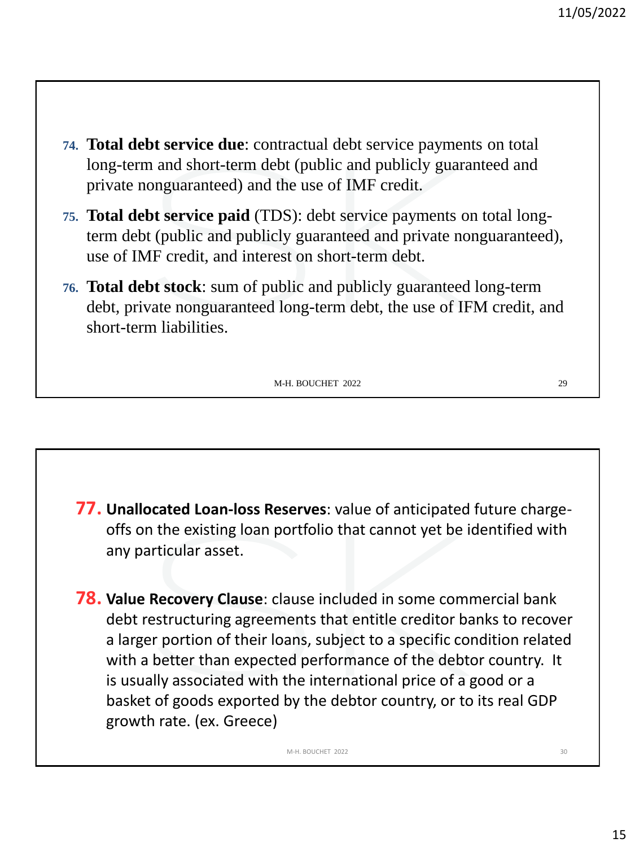- **74. Total debt service due**: contractual debt service payments on total long-term and short-term debt (public and publicly guaranteed and private nonguaranteed) and the use of IMF credit.
- **75. Total debt service paid** (TDS): debt service payments on total longterm debt (public and publicly guaranteed and private nonguaranteed), use of IMF credit, and interest on short-term debt.
- **76. Total debt stock**: sum of public and publicly guaranteed long-term debt, private nonguaranteed long-term debt, the use of IFM credit, and short-term liabilities.

**77. Unallocated Loan-loss Reserves**: value of anticipated future chargeoffs on the existing loan portfolio that cannot yet be identified with any particular asset.

**78. Value Recovery Clause**: clause included in some commercial bank debt restructuring agreements that entitle creditor banks to recover a larger portion of their loans, subject to a specific condition related with a better than expected performance of the debtor country. It is usually associated with the international price of a good or a basket of goods exported by the debtor country, or to its real GDP growth rate. (ex. Greece)